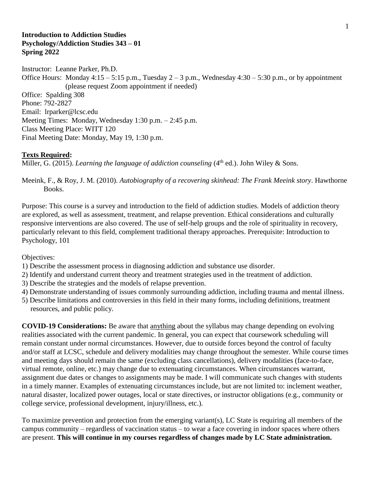### **Introduction to Addiction Studies Psychology/Addiction Studies 343 – 01 Spring 2022**

Instructor: Leanne Parker, Ph.D. Office Hours: Monday  $4:15 - 5:15$  p.m., Tuesday  $2 - 3$  p.m., Wednesday  $4:30 - 5:30$  p.m., or by appointment (please request Zoom appointment if needed) Office: Spalding 308 Phone: 792-2827 Email: lrparker@lcsc.edu Meeting Times: Monday, Wednesday 1:30 p.m. – 2:45 p.m. Class Meeting Place: WITT 120 Final Meeting Date: Monday, May 19, 1:30 p.m.

### **Texts Required:**

Miller, G. (2015). *Learning the language of addiction counseling* (4<sup>th</sup> ed.). John Wiley & Sons.

Meeink, F., & Roy, J. M. (2010). *Autobiography of a recovering skinhead: The Frank Meeink story*. Hawthorne Books.

Purpose: This course is a survey and introduction to the field of addiction studies. Models of addiction theory are explored, as well as assessment, treatment, and relapse prevention. Ethical considerations and culturally responsive interventions are also covered. The use of self-help groups and the role of spirituality in recovery, particularly relevant to this field, complement traditional therapy approaches. Prerequisite: Introduction to Psychology, 101

Objectives:

- 1) Describe the assessment process in diagnosing addiction and substance use disorder.
- 2) Identify and understand current theory and treatment strategies used in the treatment of addiction.
- 3) Describe the strategies and the models of relapse prevention.
- 4) Demonstrate understanding of issues commonly surrounding addiction, including trauma and mental illness.
- 5) Describe limitations and controversies in this field in their many forms, including definitions, treatment resources, and public policy.

**COVID-19 Considerations:** Be aware that anything about the syllabus may change depending on evolving realities associated with the current pandemic. In general, you can expect that coursework scheduling will remain constant under normal circumstances. However, due to outside forces beyond the control of faculty and/or staff at LCSC, schedule and delivery modalities may change throughout the semester. While course times and meeting days should remain the same (excluding class cancellations), delivery modalities (face-to-face, virtual remote, online, etc.) may change due to extenuating circumstances. When circumstances warrant, assignment due dates or changes to assignments may be made. I will communicate such changes with students in a timely manner. Examples of extenuating circumstances include, but are not limited to: inclement weather, natural disaster, localized power outages, local or state directives, or instructor obligations (e.g., community or college service, professional development, injury/illness, etc.).

To maximize prevention and protection from the emerging variant(s), LC State is requiring all members of the campus community – regardless of vaccination status – to wear a face covering in indoor spaces where others are present. **This will continue in my courses regardless of changes made by LC State administration.**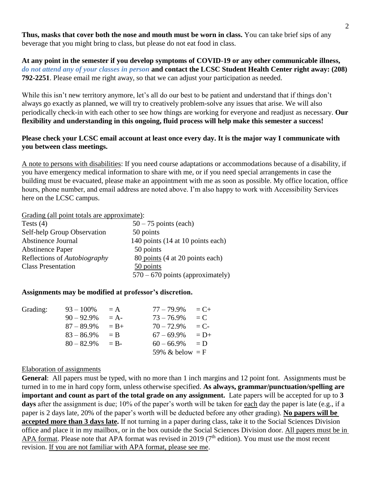**Thus, masks that cover both the nose and mouth must be worn in class.** You can take brief sips of any beverage that you might bring to class, but please do not eat food in class.

**At any point in the semester if you develop symptoms of COVID-19 or any other communicable illness,**  *do not attend any of your classes in person* **and contact the LCSC Student Health Center right away: (208) 792-2251**. Please email me right away, so that we can adjust your participation as needed.

While this isn't new territory anymore, let's all do our best to be patient and understand that if things don't always go exactly as planned, we will try to creatively problem-solve any issues that arise. We will also periodically check-in with each other to see how things are working for everyone and readjust as necessary. **Our flexibility and understanding in this ongoing, fluid process will help make this semester a success!**

## **Please check your LCSC email account at least once every day. It is the major way I communicate with you between class meetings.**

A note to persons with disabilities: If you need course adaptations or accommodations because of a disability, if you have emergency medical information to share with me, or if you need special arrangements in case the building must be evacuated, please make an appointment with me as soon as possible. My office location, office hours, phone number, and email address are noted above. I'm also happy to work with Accessibility Services here on the LCSC campus.

Grading (all point totals are approximate):

| Tests $(4)$                         | $50 - 75$ points (each)            |
|-------------------------------------|------------------------------------|
| Self-help Group Observation         | 50 points                          |
| Abstinence Journal                  | 140 points (14 at 10 points each)  |
| <b>Abstinence Paper</b>             | 50 points                          |
| Reflections of <i>Autobiography</i> | 80 points (4 at 20 points each)    |
| <b>Class Presentation</b>           | 50 points                          |
|                                     | $570 - 670$ points (approximately) |

#### **Assignments may be modified at professor's discretion.**

| Grading: | $93 - 100\%$  | $\equiv$ A | $77 - 79.9\%$     | $= C +$ |
|----------|---------------|------------|-------------------|---------|
|          | $90 - 92.9\%$ | $= A -$    | $73 - 76.9\%$     | $= C$   |
|          | $87 - 89.9\%$ | $= B+$     | $70 - 72.9\%$     | $= C$ - |
|          | $83 - 86.9\%$ | $=$ B      | $67 - 69.9\%$     | $= D+$  |
|          | $80 - 82.9\%$ | $=$ B-     | $60 - 66.9\%$     | $= D$   |
|          |               |            | 59% & below $=$ F |         |
|          |               |            |                   |         |

#### Elaboration of assignments

**General**: All papers must be typed, with no more than 1 inch margins and 12 point font. Assignments must be turned in to me in hard copy form, unless otherwise specified. **As always, grammar/punctuation/spelling are important and count as part of the total grade on any assignment.** Late papers will be accepted for up to **3 days** after the assignment is due; 10% of the paper's worth will be taken for each day the paper is late (e.g., if a paper is 2 days late, 20% of the paper's worth will be deducted before any other grading). **No papers will be accepted more than 3 days late.** If not turning in a paper during class, take it to the Social Sciences Division office and place it in my mailbox, or in the box outside the Social Sciences Division door. All papers must be in APA format. Please note that APA format was revised in 2019 ( $7<sup>th</sup>$  edition). You must use the most recent revision. If you are not familiar with APA format, please see me.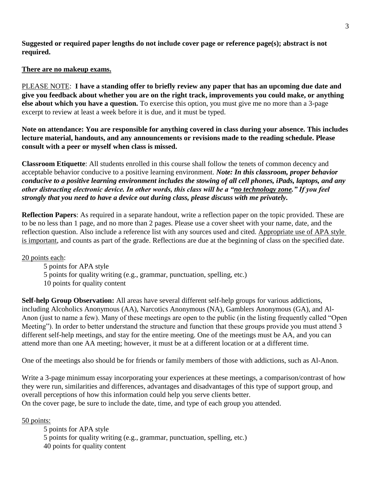**Suggested or required paper lengths do not include cover page or reference page(s); abstract is not required.**

## **There are no makeup exams.**

PLEASE NOTE: **I have a standing offer to briefly review any paper that has an upcoming due date and give you feedback about whether you are on the right track, improvements you could make, or anything else about which you have a question.** To exercise this option, you must give me no more than a 3-page excerpt to review at least a week before it is due, and it must be typed.

**Note on attendance: You are responsible for anything covered in class during your absence. This includes lecture material, handouts, and any announcements or revisions made to the reading schedule. Please consult with a peer or myself when class is missed.**

**Classroom Etiquette**: All students enrolled in this course shall follow the tenets of common decency and acceptable behavior conducive to a positive learning environment. *Note: In this classroom, proper behavior conducive to a positive learning environment includes the stowing of all cell phones, iPads, laptops, and any other distracting electronic device. In other words, this class will be a "no technology zone." If you feel strongly that you need to have a device out during class, please discuss with me privately.*

**Reflection Papers**: As required in a separate handout, write a reflection paper on the topic provided. These are to be no less than 1 page, and no more than 2 pages. Please use a cover sheet with your name, date, and the reflection question. Also include a reference list with any sources used and cited. Appropriate use of APA style is important, and counts as part of the grade. Reflections are due at the beginning of class on the specified date.

20 points each:

5 points for APA style 5 points for quality writing (e.g., grammar, punctuation, spelling, etc.) 10 points for quality content

**Self-help Group Observation:** All areas have several different self-help groups for various addictions, including Alcoholics Anonymous (AA), Narcotics Anonymous (NA), Gamblers Anonymous (GA), and Al-Anon (just to name a few). Many of these meetings are open to the public (in the listing frequently called "Open Meeting"). In order to better understand the structure and function that these groups provide you must attend 3 different self-help meetings, and stay for the entire meeting. One of the meetings must be AA, and you can attend more than one AA meeting; however, it must be at a different location or at a different time.

One of the meetings also should be for friends or family members of those with addictions, such as Al-Anon.

Write a 3-page minimum essay incorporating your experiences at these meetings, a comparison/contrast of how they were run, similarities and differences, advantages and disadvantages of this type of support group, and overall perceptions of how this information could help you serve clients better. On the cover page, be sure to include the date, time, and type of each group you attended.

50 points:

5 points for APA style 5 points for quality writing (e.g., grammar, punctuation, spelling, etc.) 40 points for quality content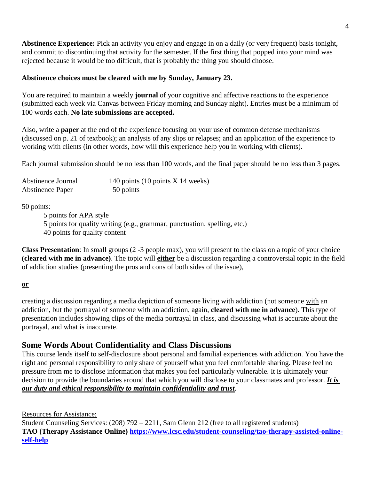**Abstinence Experience:** Pick an activity you enjoy and engage in on a daily (or very frequent) basis tonight, and commit to discontinuing that activity for the semester. If the first thing that popped into your mind was rejected because it would be too difficult, that is probably the thing you should choose.

# **Abstinence choices must be cleared with me by Sunday, January 23.**

You are required to maintain a weekly **journal** of your cognitive and affective reactions to the experience (submitted each week via Canvas between Friday morning and Sunday night). Entries must be a minimum of 100 words each. **No late submissions are accepted.**

Also, write a **paper** at the end of the experience focusing on your use of common defense mechanisms (discussed on p. 21 of textbook); an analysis of any slips or relapses; and an application of the experience to working with clients (in other words, how will this experience help you in working with clients).

Each journal submission should be no less than 100 words, and the final paper should be no less than 3 pages.

| Abstinence Journal      | 140 points $(10 \text{ points } X 14 \text{ weeks})$ |
|-------------------------|------------------------------------------------------|
| <b>Abstinence Paper</b> | 50 points                                            |

50 points:

5 points for APA style 5 points for quality writing (e.g., grammar, punctuation, spelling, etc.) 40 points for quality content

**Class Presentation**: In small groups (2 -3 people max), you will present to the class on a topic of your choice **(cleared with me in advance)**. The topic will **either** be a discussion regarding a controversial topic in the field of addiction studies (presenting the pros and cons of both sides of the issue),

**or**

creating a discussion regarding a media depiction of someone living with addiction (not someone with an addiction, but the portrayal of someone with an addiction, again, **cleared with me in advance**). This type of presentation includes showing clips of the media portrayal in class, and discussing what is accurate about the portrayal, and what is inaccurate.

# **Some Words About Confidentiality and Class Discussions**

This course lends itself to self-disclosure about personal and familial experiences with addiction. You have the right and personal responsibility to only share of yourself what you feel comfortable sharing. Please feel no pressure from me to disclose information that makes you feel particularly vulnerable. It is ultimately your decision to provide the boundaries around that which you will disclose to your classmates and professor. *It is our duty and ethical responsibility to maintain confidentiality and trust*.

Resources for Assistance:

Student Counseling Services: (208) 792 – 2211, Sam Glenn 212 (free to all registered students) **TAO (Therapy Assistance Online) [https://www.lcsc.edu/student-counseling/tao-therapy-assisted-online](https://www.lcsc.edu/student-counseling/tao-therapy-assisted-online-self-help)[self-help](https://www.lcsc.edu/student-counseling/tao-therapy-assisted-online-self-help)**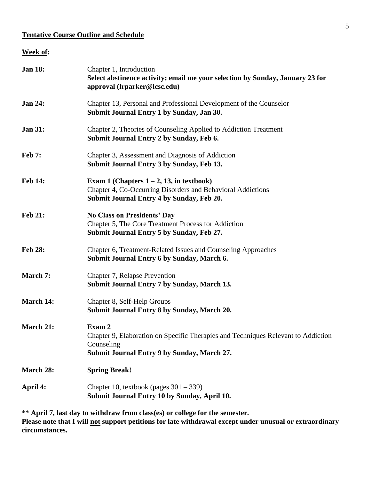# **Tentative Course Outline and Schedule**

## **Week of:**

| <b>Jan 18:</b> | Chapter 1, Introduction<br>Select abstinence activity; email me your selection by Sunday, January 23 for<br>approval (lrparker@lcsc.edu)                 |
|----------------|----------------------------------------------------------------------------------------------------------------------------------------------------------|
| <b>Jan 24:</b> | Chapter 13, Personal and Professional Development of the Counselor<br>Submit Journal Entry 1 by Sunday, Jan 30.                                          |
| <b>Jan 31:</b> | Chapter 2, Theories of Counseling Applied to Addiction Treatment<br>Submit Journal Entry 2 by Sunday, Feb 6.                                             |
| <b>Feb 7:</b>  | Chapter 3, Assessment and Diagnosis of Addiction<br>Submit Journal Entry 3 by Sunday, Feb 13.                                                            |
| <b>Feb 14:</b> | Exam 1 (Chapters $1-2$ , 13, in textbook)<br>Chapter 4, Co-Occurring Disorders and Behavioral Addictions<br>Submit Journal Entry 4 by Sunday, Feb 20.    |
| <b>Feb 21:</b> | <b>No Class on Presidents' Day</b><br>Chapter 5, The Core Treatment Process for Addiction<br>Submit Journal Entry 5 by Sunday, Feb 27.                   |
| <b>Feb 28:</b> | Chapter 6, Treatment-Related Issues and Counseling Approaches<br>Submit Journal Entry 6 by Sunday, March 6.                                              |
| March 7:       | Chapter 7, Relapse Prevention<br>Submit Journal Entry 7 by Sunday, March 13.                                                                             |
| March 14:      | Chapter 8, Self-Help Groups<br>Submit Journal Entry 8 by Sunday, March 20.                                                                               |
| March 21:      | Exam 2<br>Chapter 9, Elaboration on Specific Therapies and Techniques Relevant to Addiction<br>Counseling<br>Submit Journal Entry 9 by Sunday, March 27. |
| March 28:      | <b>Spring Break!</b>                                                                                                                                     |
| April 4:       | Chapter 10, textbook (pages $301 - 339$ )<br>Submit Journal Entry 10 by Sunday, April 10.                                                                |

\*\* **April 7, last day to withdraw from class(es) or college for the semester. Please note that I will not support petitions for late withdrawal except under unusual or extraordinary circumstances.**